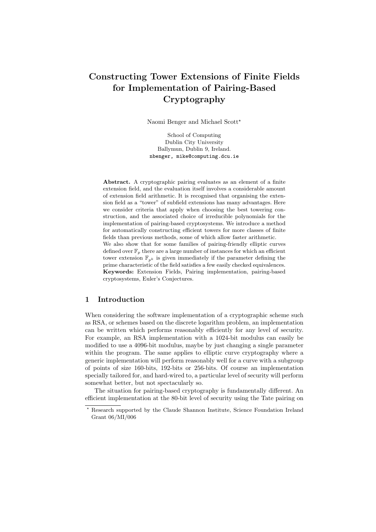# Constructing Tower Extensions of Finite Fields for Implementation of Pairing-Based Cryptography

Naomi Benger and Michael Scott?

School of Computing Dublin City University Ballymun, Dublin 9, Ireland. nbenger, mike@computing.dcu.ie

Abstract. A cryptographic pairing evaluates as an element of a finite extension field, and the evaluation itself involves a considerable amount of extension field arithmetic. It is recognised that organising the extension field as a "tower" of subfield extensions has many advantages. Here we consider criteria that apply when choosing the best towering construction, and the associated choice of irreducible polynomials for the implementation of pairing-based cryptosystems. We introduce a method for automatically constructing efficient towers for more classes of finite fields than previous methods, some of which allow faster arithmetic. We also show that for some families of pairing-friendly elliptic curves defined over  $\mathbb{F}_p$  there are a large number of instances for which an efficient tower extension  $\mathbb{F}_{p^k}$  is given immediately if the parameter defining the prime characteristic of the field satisfies a few easily checked equivalences. Keywords: Extension Fields, Pairing implementation, pairing-based cryptosystems, Euler's Conjectures.

### 1 Introduction

When considering the software implementation of a cryptographic scheme such as RSA, or schemes based on the discrete logarithm problem, an implementation can be written which performs reasonably efficiently for any level of security. For example, an RSA implementation with a 1024-bit modulus can easily be modified to use a 4096-bit modulus, maybe by just changing a single parameter within the program. The same applies to elliptic curve cryptography where a generic implementation will perform reasonably well for a curve with a subgroup of points of size 160-bits, 192-bits or 256-bits. Of course an implementation specially tailored for, and hard-wired to, a particular level of security will perform somewhat better, but not spectacularly so.

The situation for pairing-based cryptography is fundamentally different. An efficient implementation at the 80-bit level of security using the Tate pairing on

<sup>?</sup> Research supported by the Claude Shannon Institute, Science Foundation Ireland Grant 06/MI/006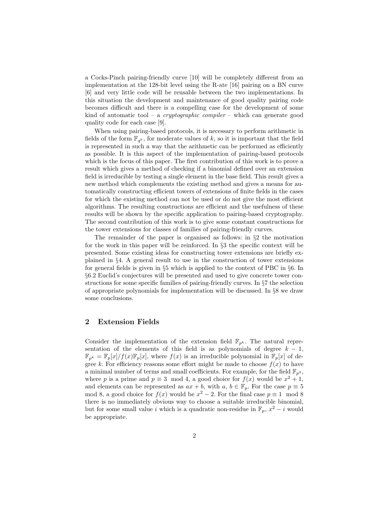a Cocks-Pinch pairing-friendly curve [10] will be completely different from an implementation at the 128-bit level using the R-ate [16] pairing on a BN curve [6] and very little code will be reusable between the two implementations. In this situation the development and maintenance of good quality pairing code becomes difficult and there is a compelling case for the development of some kind of automatic tool – a *cryptographic compiler* – which can generate good quality code for each case [9].

When using pairing-based protocols, it is necessary to perform arithmetic in fields of the form  $\mathbb{F}_{q^k}$ , for moderate values of k, so it is important that the field is represented in such a way that the arithmetic can be performed as efficiently as possible. It is this aspect of the implementation of pairing-based protocols which is the focus of this paper. The first contribution of this work is to prove a result which gives a method of checking if a binomial defined over an extension field is irreducible by testing a single element in the base field. This result gives a new method which complements the existing method and gives a means for automatically constructing efficient towers of extensions of finite fields in the cases for which the existing method can not be used or do not give the most efficient algorithms. The resulting constructions are efficient and the usefulness of these results will be shown by the specific application to pairing-based cryptography. The second contribution of this work is to give some constant constructions for the tower extensions for classes of families of pairing-friendly curves.

The remainder of the paper is organised as follows: in §2 the motivation for the work in this paper will be reinforced. In §3 the specific context will be presented. Some existing ideas for constructing tower extensions are briefly explained in §4. A general result to use in the construction of tower extensions for general fields is given in §5 which is applied to the context of PBC in §6. In §6.2 Euclid's conjectures will be presented and used to give concrete tower constructions for some specific families of pairing-friendly curves. In §7 the selection of appropriate polynomials for implementation will be discussed. In §8 we draw some conclusions.

#### 2 Extension Fields

Consider the implementation of the extension field  $\mathbb{F}_{p^k}$ . The natural representation of the elements of this field is as polynomials of degree  $k - 1$ ,  $\mathbb{F}_{p^k} = \mathbb{F}_p[x]/f(x)\mathbb{F}_p[x]$ , where  $f(x)$  is an irreducible polynomial in  $\mathbb{F}_p[x]$  of degree k. For efficiency reasons some effort might be made to choose  $f(x)$  to have a minimal number of terms and small coefficients. For example, for the field  $\mathbb{F}_{p^2}$ , where p is a prime and  $p \equiv 3 \mod 4$ , a good choice for  $f(x)$  would be  $x^2 + 1$ , and elements can be represented as  $ax + b$ , with  $a, b \in \mathbb{F}_p$ . For the case  $p \equiv 5$ mod 8, a good choice for  $f(x)$  would be  $x^2 - 2$ . For the final case  $p \equiv 1 \mod 8$ there is no immediately obvious way to choose a suitable irreducible binomial, but for some small value i which is a quadratic non-residue in  $\mathbb{F}_p$ ,  $x^2 - i$  would be appropriate.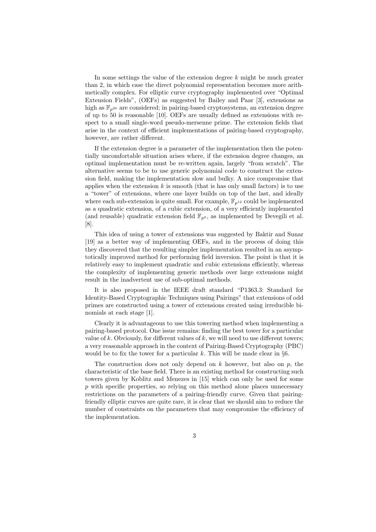In some settings the value of the extension degree  $k$  might be much greater than 2, in which case the direct polynomial representation becomes more arithmetically complex. For elliptic curve cryptography implemented over "Optimal Extension Fields", (OEFs) as suggested by Bailey and Paar [3], extensions as high as  $\mathbb{F}_{n^{30}}$  are considered; in pairing-based cryptosystems, an extension degree of up to 50 is reasonable [10]. OEFs are usually defined as extensions with respect to a small single-word pseudo-mersenne prime. The extension fields that arise in the context of efficient implementations of pairing-based cryptography, however, are rather different.

If the extension degree is a parameter of the implementation then the potentially uncomfortable situation arises where, if the extension degree changes, an optimal implementation must be re-written again, largely "from scratch". The alternative seems to be to use generic polynomial code to construct the extension field, making the implementation slow and bulky. A nice compromise that applies when the extension  $k$  is smooth (that is has only small factors) is to use a "tower" of extensions, where one layer builds on top of the last, and ideally where each sub-extension is quite small. For example,  $\mathbb{F}_{p^{12}}$  could be implemented as a quadratic extension, of a cubic extension, of a very efficiently implemented (and reusable) quadratic extension field  $\mathbb{F}_{p^2}$ , as implemented by Devegili et al. [8].

This idea of using a tower of extensions was suggested by Baktir and Sunar [19] as a better way of implementing OEFs, and in the process of doing this they discovered that the resulting simpler implementation resulted in an asymptotically improved method for performing field inversion. The point is that it is relatively easy to implement quadratic and cubic extensions efficiently, whereas the complexity of implementing generic methods over large extensions might result in the inadvertent use of sub-optimal methods.

It is also proposed in the IEEE draft standard "P1363.3: Standard for Identity-Based Cryptographic Techniques using Pairings" that extensions of odd primes are constructed using a tower of extensions created using irreducible binomials at each stage [1].

Clearly it is advantageous to use this towering method when implementing a pairing-based protocol. One issue remains: finding the best tower for a particular value of k. Obviously, for different values of  $k$ , we will need to use different towers; a very reasonable approach in the context of Pairing-Based Cryptography (PBC) would be to fix the tower for a particular k. This will be made clear in  $\S6$ .

The construction does not only depend on  $k$  however, but also on  $p$ , the characteristic of the base field. There is an existing method for constructing such towers given by Koblitz and Menezes in [15] which can only be used for some  $p$  with specific properties, so relying on this method alone places unnecessary restrictions on the parameters of a pairing-friendly curve. Given that pairingfriendly elliptic curves are quite rare, it is clear that we should aim to reduce the number of constraints on the parameters that may compromise the efficiency of the implementation.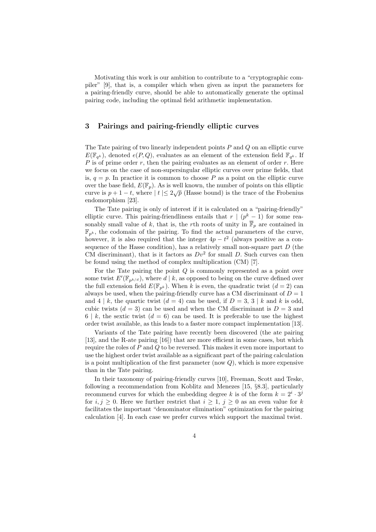Motivating this work is our ambition to contribute to a "cryptographic compiler" [9], that is, a compiler which when given as input the parameters for a pairing-friendly curve, should be able to automatically generate the optimal pairing code, including the optimal field arithmetic implementation.

# 3 Pairings and pairing-friendly elliptic curves

The Tate pairing of two linearly independent points  $P$  and  $Q$  on an elliptic curve  $E(\mathbb{F}_{q^k})$ , denoted  $e(P,Q)$ , evaluates as an element of the extension field  $\mathbb{F}_{q^k}$ . If  $P$  is of prime order r, then the pairing evaluates as an element of order r. Here we focus on the case of non-supersingular elliptic curves over prime fields, that is,  $q = p$ . In practice it is common to choose P as a point on the elliptic curve over the base field,  $E(\mathbb{F}_p)$ . As is well known, the number of points on this elliptic curve is  $p + 1 - t$ , where  $|t| \leq 2\sqrt{p}$  (Hasse bound) is the trace of the Frobenius endomorphism [23].

The Tate pairing is only of interest if it is calculated on a "pairing-friendly" elliptic curve. This pairing-friendliness entails that  $r \mid (p^k - 1)$  for some reasonably small value of k, that is, the rth roots of unity in  $\overline{\mathbb{F}}_p$  are contained in  $\mathbb{F}_{p^k}$ , the codomain of the pairing. To find the actual parameters of the curve, however, it is also required that the integer  $4p - t^2$  (always positive as a consequence of the Hasse condition), has a relatively small non-square part  $D$  (the CM discriminant), that is it factors as  $Dv^2$  for small D. Such curves can then be found using the method of complex multiplication (CM) [7].

For the Tate pairing the point  $Q$  is commonly represented as a point over some twist  $E'(\mathbb{F}_{p^{k/d}})$ , where  $d | k$ , as opposed to being on the curve defined over the full extension field  $E(\mathbb{F}_{p^k})$ . When k is even, the quadratic twist  $(d = 2)$  can always be used, when the pairing-friendly curve has a CM discriminant of  $D = 1$ and  $4 \mid k$ , the quartic twist  $(d = 4)$  can be used, if  $D = 3, 3 \mid k$  and k is odd. cubic twists  $(d = 3)$  can be used and when the CM discriminant is  $D = 3$  and 6 | k, the sextic twist  $(d = 6)$  can be used. It is preferable to use the highest order twist available, as this leads to a faster more compact implementation [13].

Variants of the Tate pairing have recently been discovered (the ate pairing [13], and the R-ate pairing [16]) that are more efficient in some cases, but which require the roles of  $P$  and  $Q$  to be reversed. This makes it even more important to use the highest order twist available as a significant part of the pairing calculation is a point multiplication of the first parameter (now  $Q$ ), which is more expensive than in the Tate pairing.

In their taxonomy of pairing-friendly curves [10], Freeman, Scott and Teske, following a recommendation from Koblitz and Menezes [15, §8.3], particularly recommend curves for which the embedding degree k is of the form  $k = 2^i \cdot 3^j$ for  $i, j \geq 0$ . Here we further restrict that  $i \geq 1, j \geq 0$  as an even value for k facilitates the important "denominator elimination" optimization for the pairing calculation [4]. In each case we prefer curves which support the maximal twist.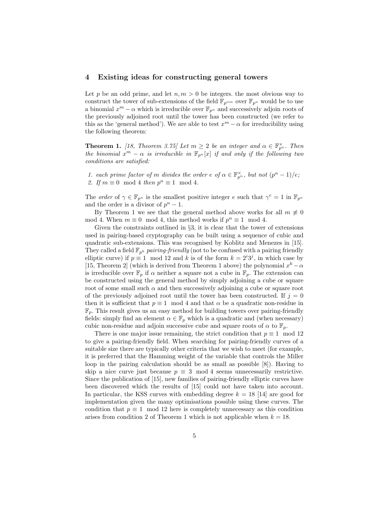#### 4 Existing ideas for constructing general towers

Let p be an odd prime, and let  $n, m > 0$  be integers, the most obvious way to construct the tower of sub-extensions of the field  $\mathbb{F}_{p^{nm}}$  over  $\mathbb{F}_{p^n}$  would be to use a binomial  $x^m - \alpha$  which is irreducible over  $\mathbb{F}_{p^n}$  and successively adjoin roots of the previously adjoined root until the tower has been constructed (we refer to this as the 'general method'). We are able to test  $x^m - \alpha$  for irreducibility using the following theorem:

**Theorem 1.** [18, Theorem 3.75] Let  $m \geq 2$  be an integer and  $\alpha \in \mathbb{F}_{p^n}^{\times}$ . Then the binomial  $x^m - \alpha$  is irreducible in  $\mathbb{F}_{p^n}[x]$  if and only if the following two conditions are satisfied:

1. each prime factor of m divides the order  $e$  of  $\alpha \in \mathbb{F}_{p^n}^{\times}$ , but not  $(p^n-1)/e$ ; 2. If  $m \equiv 0 \mod 4$  then  $p^n \equiv 1 \mod 4$ .

The *order* of  $\gamma \in \mathbb{F}_{p^n}$  is the smallest positive integer e such that  $\gamma^e = 1$  in  $\mathbb{F}_{p^n}$ and the order is a divisor of  $p^{n} - 1$ .

By Theorem 1 we see that the general method above works for all  $m \neq 0$ mod 4. When  $m \equiv 0 \mod 4$ , this method works if  $p^n \equiv 1 \mod 4$ .

Given the constraints outlined in §3, it is clear that the tower of extensions used in pairing-based cryptography can be built using a sequence of cubic and quadratic sub-extensions. This was recognised by Koblitz and Menezes in [15]. They called a field  $\mathbb{F}_{p^k}$  pairing-friendly (not to be confused with a pairing friendly elliptic curve) if  $p \equiv 1 \mod 12$  and k is of the form  $k = 2^i 3^j$ , in which case by [15, Theorem 2] (which is derived from Theorem 1 above) the polynomial  $x<sup>k</sup> - \alpha$ is irreducible over  $\mathbb{F}_p$  if  $\alpha$  neither a square not a cube in  $\mathbb{F}_p$ . The extension can be constructed using the general method by simply adjoining a cube or square root of some small such  $\alpha$  and then successively adjoining a cube or square root of the previously adjoined root until the tower has been constructed. If  $j = 0$ then it is sufficient that  $p \equiv 1 \mod 4$  and that  $\alpha$  be a quadratic non-residue in  $\mathbb{F}_p$ . This result gives us an easy method for building towers over pairing-friendly fields: simply find an element  $\alpha \in \mathbb{F}_p$  which is a quadratic and (when necessary) cubic non-residue and adjoin successive cube and square roots of  $\alpha$  to  $\mathbb{F}_p$ .

There is one major issue remaining, the strict condition that  $p \equiv 1 \mod 12$ to give a pairing-friendly field. When searching for pairing-friendly curves of a suitable size there are typically other criteria that we wish to meet (for example, it is preferred that the Hamming weight of the variable that controls the Miller loop in the pairing calculation should be as small as possible [8]). Having to skip a nice curve just because  $p \equiv 3 \mod 4$  seems unnecessarily restrictive. Since the publication of [15], new families of pairing-friendly elliptic curves have been discovered which the results of [15] could not have taken into account. In particular, the KSS curves with embedding degree  $k = 18$  [14] are good for implementation given the many optimisations possible using these curves. The condition that  $p \equiv 1 \mod 12$  here is completely unnecessary as this condition arises from condition 2 of Theorem 1 which is not applicable when  $k = 18$ .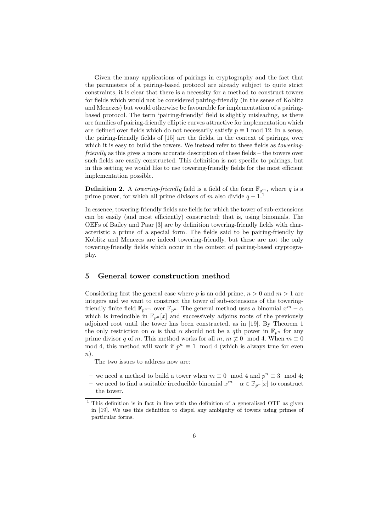Given the many applications of pairings in cryptography and the fact that the parameters of a pairing-based protocol are already subject to quite strict constraints, it is clear that there is a necessity for a method to construct towers for fields which would not be considered pairing-friendly (in the sense of Koblitz and Menezes) but would otherwise be favourable for implementation of a pairingbased protocol. The term 'pairing-friendly' field is slightly misleading, as there are families of pairing-friendly elliptic curves attractive for implementation which are defined over fields which do not necessarily satisfy  $p \equiv 1 \mod 12$ . In a sense, the pairing-friendly fields of [15] are the fields, in the context of pairings, over which it is easy to build the towers. We instead refer to these fields as *towering*friendly as this gives a more accurate description of these fields – the towers over such fields are easily constructed. This definition is not specific to pairings, but in this setting we would like to use towering-friendly fields for the most efficient implementation possible.

**Definition 2.** A *towering-friendly* field is a field of the form  $\mathbb{F}_{q^m}$ , where q is a prime power, for which all prime divisors of m also divide  $q - 1$ .<sup>1</sup>

In essence, towering-friendly fields are fields for which the tower of sub-extensions can be easily (and most efficiently) constructed; that is, using binomials. The OEFs of Bailey and Paar [3] are by definition towering-friendly fields with characteristic a prime of a special form. The fields said to be pairing-friendly by Koblitz and Menezes are indeed towering-friendly, but these are not the only towering-friendly fields which occur in the context of pairing-based cryptography.

#### 5 General tower construction method

Considering first the general case where p is an odd prime,  $n > 0$  and  $m > 1$  are integers and we want to construct the tower of sub-extensions of the toweringfriendly finite field  $\mathbb{F}_{p^{nm}}$  over  $\mathbb{F}_{p^n}$ . The general method uses a binomial  $x^m - \alpha$ which is irreducible in  $\mathbb{F}_{p^n}[x]$  and successively adjoins roots of the previously adjoined root until the tower has been constructed, as in [19]. By Theorem 1 the only restriction on  $\alpha$  is that  $\alpha$  should not be a qth power in  $\mathbb{F}_{p^n}$  for any prime divisor q of m. This method works for all m,  $m \not\equiv 0 \mod 4$ . When  $m \equiv 0$ mod 4, this method will work if  $p^n \equiv 1 \mod 4$  (which is always true for even  $n$ ).

The two issues to address now are:

– we need a method to build a tower when  $m \equiv 0 \mod 4$  and  $p^n \equiv 3 \mod 4$ ;

– we need to find a suitable irreducible binomial  $x^m$  – α ∈  $\mathbb{F}_{p^n}[x]$  to construct the tower.

 $1$  This definition is in fact in line with the definition of a generalised OTF as given in [19]. We use this definition to dispel any ambiguity of towers using primes of particular forms.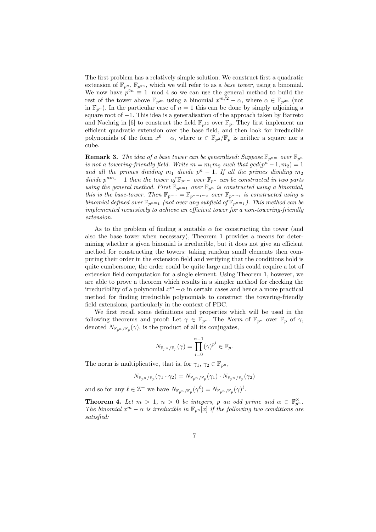The first problem has a relatively simple solution. We construct first a quadratic extension of  $\mathbb{F}_{p^n}$ ,  $\mathbb{F}_{p^{2n}}$ , which we will refer to as a *base tower*, using a binomial. We now have  $p^{2n} \equiv 1 \mod 4$  so we can use the general method to build the rest of the tower above  $\mathbb{F}_{p^{2n}}$  using a binomial  $x^{m/2} - \alpha$ , where  $\alpha \in \mathbb{F}_{p^{2n}}$  (not in  $\mathbb{F}_{n^n}$ ). In the particular case of  $n = 1$  this can be done by simply adjoining a square root of −1. This idea is a generalisation of the approach taken by Barreto and Naehrig in [6] to construct the field  $\mathbb{F}_{p^{12}}$  over  $\mathbb{F}_p$ . They first implement an efficient quadratic extension over the base field, and then look for irreducible polynomials of the form  $x^6 - \alpha$ , where  $\alpha \in \mathbb{F}_{p^2}/\mathbb{F}_p$  is neither a square nor a cube.

**Remark 3.** The idea of a base tower can be generalised: Suppose  $\mathbb{F}_{p^{nm}}$  over  $\mathbb{F}_{p^m}$ is not a towering-friendly field. Write  $m = m_1 m_2$  such that  $gcd(p^n - 1, m_2) = 1$ and all the primes dividing  $m_1$  divide  $p^n - 1$ . If all the primes dividing  $m_2$ divide  $p^{nm_1}-1$  then the tower of  $\mathbb{F}_{p^{nm}}$  over  $\mathbb{F}_{p^n}$  can be constructed in two parts using the general method. First  $\mathbb{F}_{p^{nm_1}}$  over  $\mathbb{F}_{p^n}$  is constructed using a binomial, this is the base-tower. Then  $\mathbb{F}_{p^{nm}} = \mathbb{F}_{p^{nm_1 m_2}}$  over  $\mathbb{F}_{p^{nm_1}}$  is constructed using a binomial defined over  $\mathbb{F}_{p^{nm_1}}$  (not over any subfield of  $\mathbb{F}_{p^{nm_1}}$ ). This method can be implemented recursively to achieve an efficient tower for a non-towering-friendly extension.

As to the problem of finding a suitable  $\alpha$  for constructing the tower (and also the base tower when necessary), Theorem 1 provides a means for determining whether a given binomial is irreducible, but it does not give an efficient method for constructing the towers: taking random small elements then computing their order in the extension field and verifying that the conditions hold is quite cumbersome, the order could be quite large and this could require a lot of extension field computation for a single element. Using Theorem 1, however, we are able to prove a theorem which results in a simpler method for checking the irreducibility of a polynomial  $x^m - \alpha$  in certain cases and hence a more practical method for finding irreducible polynomials to construct the towering-friendly field extensions, particularly in the context of PBC.

We first recall some definitions and properties which will be used in the following theorems and proof: Let  $\gamma \in \mathbb{F}_{p^n}$ . The Norm of  $\mathbb{F}_{p^n}$  over  $\mathbb{F}_p$  of  $\gamma$ , denoted  $N_{\mathbb{F}_{p^n}/\mathbb{F}_p}(\gamma)$ , is the product of all its conjugates,

$$
N_{\mathbb{F}_{p^n}/\mathbb{F}_p}(\gamma) = \prod_{i=0}^{n-1} (\gamma)^{p^i} \in \mathbb{F}_p.
$$

The norm is multiplicative, that is, for  $\gamma_1, \gamma_2 \in \mathbb{F}_{p^n}$ ,

$$
N_{\mathbb{F}_{p^n}/\mathbb{F}_p}(\gamma_1\cdot \gamma_2)=N_{\mathbb{F}_{p^n}/\mathbb{F}_p}(\gamma_1)\cdot N_{\mathbb{F}_{p^n}/\mathbb{F}_p}(\gamma_2)
$$

and so for any  $\ell \in \mathbb{Z}^+$  we have  $N_{\mathbb{F}_{p^n}/\mathbb{F}_p}(\gamma^{\ell}) = N_{\mathbb{F}_{p^n}/\mathbb{F}_p}(\gamma)^{\ell}$ .

**Theorem 4.** Let  $m > 1$ ,  $n > 0$  be integers, p an odd prime and  $\alpha \in \mathbb{F}_{p^n}^{\times}$ . The binomial  $x^m - \alpha$  is irreducible in  $\mathbb{F}_{p^n}[x]$  if the following two conditions are satisfied: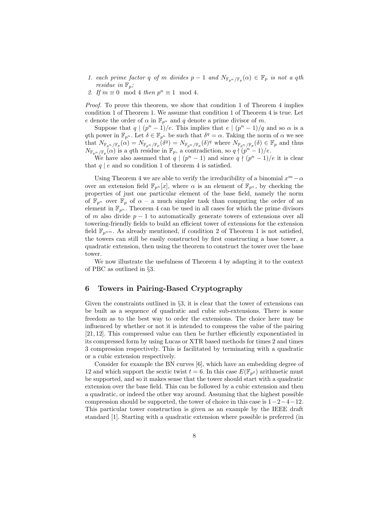- 1. each prime factor q of m divides  $p-1$  and  $N_{\mathbb{F}_{p^n}/\mathbb{F}_p}(\alpha) \in \mathbb{F}_p$  is not a qth residue in  $\mathbb{F}_p$ ;
- 2. If  $m \equiv 0 \mod 4$  then  $p^n \equiv 1 \mod 4$ .

Proof. To prove this theorem, we show that condition 1 of Theorem 4 implies condition 1 of Theorem 1. We assume that condition 1 of Theorem 4 is true. Let e denote the order of  $\alpha$  in  $\mathbb{F}_{p^n}$  and q denote a prime divisor of m.

Suppose that  $q \mid (p^{n} - 1)/e$ . This implies that  $e \mid (p^{n} - 1)/q$  and so  $\alpha$  is a qth power in  $\mathbb{F}_{p^n}$ . Let  $\delta \in \mathbb{F}_{p^n}$  be such that  $\delta^q = \alpha$ . Taking the norm of  $\alpha$  we see that  $N_{\mathbb{F}_{p^n}/\mathbb{F}_p}(\alpha) = N_{\mathbb{F}_{p^n}/\mathbb{F}_p}(\delta^q) = N_{\mathbb{F}_{p^n}/\mathbb{F}_p}(\delta)^q$  where  $N_{\mathbb{F}_{p^n}/\mathbb{F}_p}(\delta) \in \mathbb{F}_p$  and thus  $N_{\mathbb{F}_{p^n}/\mathbb{F}_p}(\alpha)$  is a qth residue in  $\mathbb{F}_p$ , a contradiction, so  $q \nmid (p^n-1)/e$ .

We have also assumed that  $q \mid (p^{n} - 1)$  and since  $q \nmid (p^{n} - 1)/e$  it is clear that  $q \mid e$  and so condition 1 of theorem 4 is satisfied.

Using Theorem 4 we are able to verify the irreducibility of a binomial  $x^m - \alpha$ over an extension field  $\mathbb{F}_{p^n}[x]$ , where  $\alpha$  is an element of  $\mathbb{F}_{p^n}$ , by checking the properties of just one particular element of the base field, namely the norm of  $\mathbb{F}_{p^n}$  over  $\mathbb{F}_p$  of  $\alpha$  – a much simpler task than computing the order of an element in  $\mathbb{F}_{p^n}$ . Theorem 4 can be used in all cases for which the prime divisors of m also divide  $p - 1$  to automatically generate towers of extensions over all towering-friendly fields to build an efficient tower of extensions for the extension field  $\mathbb{F}_{p^{nm}}$ . As already mentioned, if condition 2 of Theorem 1 is not satisfied, the towers can still be easily constructed by first constructing a base tower, a quadratic extension, then using the theorem to construct the tower over the base tower.

We now illustrate the usefulness of Theorem 4 by adapting it to the context of PBC as outlined in §3.

# 6 Towers in Pairing-Based Cryptography

Given the constraints outlined in §3, it is clear that the tower of extensions can be built as a sequence of quadratic and cubic sub-extensions. There is some freedom as to the best way to order the extensions. The choice here may be influenced by whether or not it is intended to compress the value of the pairing [21, 12]. This compressed value can then be further efficiently exponentiated in its compressed form by using Lucas or XTR based methods for times 2 and times 3 compression respectively. This is facilitated by terminating with a quadratic or a cubic extension respectively.

Consider for example the BN curves [6], which have an embedding degree of 12 and which support the sextic twist  $t = 6$ . In this case  $E(\mathbb{F}_{n^2})$  arithmetic must be supported, and so it makes sense that the tower should start with a quadratic extension over the base field. This can be followed by a cubic extension and then a quadratic, or indeed the other way around. Assuming that the highest possible compression should be supported, the tower of choice in this case is  $1-2-4-12$ . This particular tower construction is given as an example by the IEEE draft standard [1]. Starting with a quadratic extension where possible is preferred (in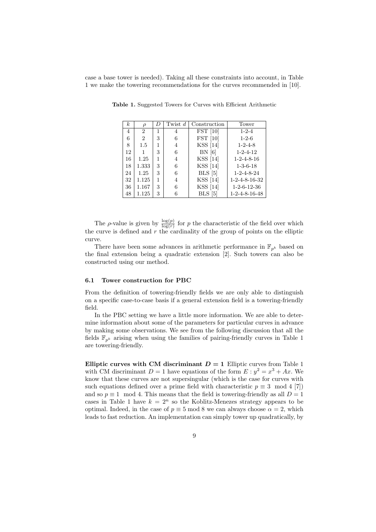case a base tower is needed). Taking all these constraints into account, in Table 1 we make the towering recommendations for the curves recommended in [10].

| $\boldsymbol{k}$ | D              | $\left( \right)$ | Twist $d$ | Construction      | Tower                     |
|------------------|----------------|------------------|-----------|-------------------|---------------------------|
| 4                | $\overline{2}$ | 1                | 4         | $\text{FST}$ [10] | $1 - 2 - 4$               |
| 6                | $\overline{2}$ | 3                | 6         | $\text{FST}$ [10] | $1 - 2 - 6$               |
| 8                | 1.5            | 1                | 4         | KSS [14]          | $1 - 2 - 4 - 8$           |
| 12               | 1              | 3                | 6         | BN [6]            | $1 - 2 - 4 - 12$          |
| 16               | 1.25           | 1                | 4         | KSS [14]          | $1 - 2 - 4 - 8 - 16$      |
| 18               | 1.333          | 3                | 6         | KSS [14]          | $1 - 3 - 6 - 18$          |
| 24               | 1.25           | 3                | 6         | $BLS$ [5]         | $1 - 2 - 4 - 8 - 24$      |
| 32               | 1.125          | 1                | 4         | <b>KSS</b> [14]   | $1 - 2 - 4 - 8 - 16 - 32$ |
| 36               | 1.167          | 3                | 6         | KSS [14]          | $1-2-6-12-36$             |
| 48               | 1.125          | 3                | 6         | BLS [5]           | $1 - 2 - 4 - 8 - 16 - 48$ |

Table 1. Suggested Towers for Curves with Efficient Arithmetic

The  $\rho$ -value is given by  $\frac{\log(p)}{\log(r)}$  for p the characteristic of the field over which the curve is defined and  $r$  the cardinality of the group of points on the elliptic curve.

There have been some advances in arithmetic performance in  $\mathbb{F}_{p^k}$  based on the final extension being a quadratic extension [2]. Such towers can also be constructed using our method.

#### 6.1 Tower construction for PBC

From the definition of towering-friendly fields we are only able to distinguish on a specific case-to-case basis if a general extension field is a towering-friendly field.

In the PBC setting we have a little more information. We are able to determine information about some of the parameters for particular curves in advance by making some observations. We see from the following discussion that all the fields  $\mathbb{F}_{n^k}$  arising when using the families of pairing-friendly curves in Table 1 are towering-friendly.

Elliptic curves with CM discriminant  $D = 1$  Elliptic curves from Table 1 with CM discriminant  $D = 1$  have equations of the form  $E : y^2 = x^3 + Ax$ . We know that these curves are not supersingular (which is the case for curves with such equations defined over a prime field with characteristic  $p \equiv 3 \mod 4$  [7]) and so  $p \equiv 1 \mod 4$ . This means that the field is towering-friendly as all  $D = 1$ cases in Table 1 have  $k = 2^n$  so the Koblitz-Menezes strategy appears to be optimal. Indeed, in the case of  $p \equiv 5 \mod 8$  we can always choose  $\alpha = 2$ , which leads to fast reduction. An implementation can simply tower up quadratically, by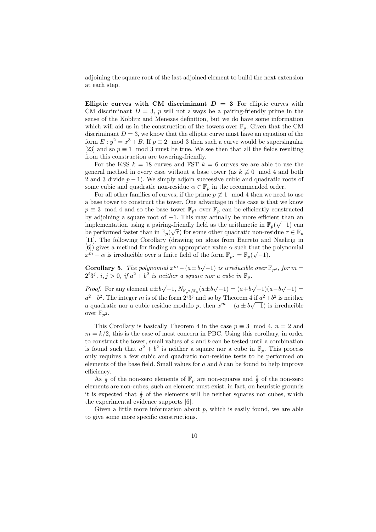adjoining the square root of the last adjoined element to build the next extension at each step.

Elliptic curves with CM discriminant  $D = 3$  For elliptic curves with CM discriminant  $D = 3$ , p will not always be a pairing-friendly prime in the sense of the Koblitz and Menezes definition, but we do have some information which will aid us in the construction of the towers over  $\mathbb{F}_p$ . Given that the CM discriminant  $D = 3$ , we know that the elliptic curve must have an equation of the form  $E: y^2 = x^3 + B$ . If  $p \equiv 2 \mod 3$  then such a curve would be supersingular [23] and so  $p \equiv 1 \mod 3$  must be true. We see then that all the fields resulting from this construction are towering-friendly.

For the KSS  $k = 18$  curves and FST  $k = 6$  curves we are able to use the general method in every case without a base tower (as  $k \neq 0 \mod 4$  and both 2 and 3 divide  $p-1$ ). We simply adjoin successive cubic and quadratic roots of some cubic and quadratic non-residue  $\alpha \in \mathbb{F}_p$  in the recommended order.

For all other families of curves, if the prime  $p \neq 1 \mod 4$  then we need to use a base tower to construct the tower. One advantage in this case is that we know  $p \equiv 3 \mod 4$  and so the base tower  $\mathbb{F}_{p^2}$  over  $\mathbb{F}_p$  can be efficiently constructed by adjoining a square root of  $-1$ . This may actually be more efficient than an implementation using a pairing-friendly field as the arithmetic in  $\mathbb{F}_p(\sqrt{-1})$  can be performed faster than in  $\mathbb{F}_p(\sqrt{\tau})$  for some other quadratic non-residue  $\tau \in \mathbb{F}_p$ [11]. The following Corollary (drawing on ideas from Barreto and Naehrig in [6]) gives a method for finding an appropriate value  $\alpha$  such that the polynomial  $x^m - \alpha$  is irreducible over a finite field of the form  $\mathbb{F}_{p^2} = \mathbb{F}_p(\sqrt{-1}).$ 

**Corollary 5.** The polynomial  $x^m - (a \pm b\sqrt{-1})$  is irreducible over  $\mathbb{F}_{p^2}$ , for  $m =$  $2^{i}3^{j}$ ,  $i, j > 0$ , if  $a^{2} + b^{2}$  is neither a square nor a cube in  $\mathbb{F}_{p}$ .

*Proof.* For any element  $a \pm b\sqrt{-1}$ ,  $N_{\mathbb{F}_{p^2}/\mathbb{F}_p}(a \pm b\sqrt{-1}) = (a+b\sqrt{-1})(a-b\sqrt{-1}) =$  $a^2+b^2$ . The integer m is of the form  $2^i3^j$  and so by Theorem 4 if  $a^2+b^2$  is neither a quadratic nor a cubic residue modulo p, then  $x^m - (a \pm b\sqrt{-1})$  is irreducible over  $\mathbb{F}_{p^2}$ .

This Corollary is basically Theorem 4 in the case  $p \equiv 3 \mod 4$ ,  $n = 2$  and  $m = k/2$ , this is the case of most concern in PBC. Using this corollary, in order to construct the tower, small values of  $a$  and  $b$  can be tested until a combination is found such that  $a^2 + b^2$  is neither a square nor a cube in  $\mathbb{F}_p$ . This process only requires a few cubic and quadratic non-residue tests to be performed on elements of the base field. Small values for  $a$  and  $b$  can be found to help improve efficiency.

As  $\frac{1}{2}$  of the non-zero elements of  $\mathbb{F}_p$  are non-squares and  $\frac{2}{3}$  of the non-zero elements are non-cubes, such an element must exist; in fact, on heuristic grounds it is expected that  $\frac{1}{3}$  of the elements will be neither squares nor cubes, which the experimental evidence supports [6].

Given a little more information about  $p$ , which is easily found, we are able to give some more specific constructions.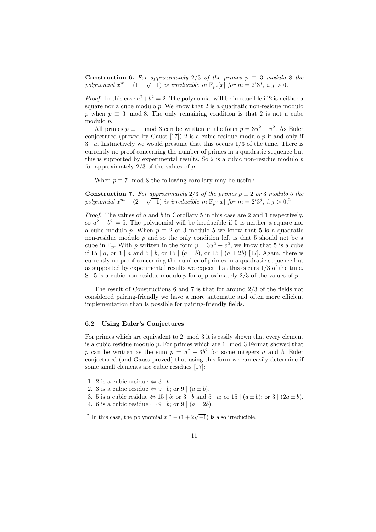**Construction 6.** For approximately 2/3 of the primes  $p \equiv 3$  modulo 8 the **Construction 6.** For approximately  $2/3$  of the primes  $p = 3$  modulo polynomial  $x^m - (1 + \sqrt{-1})$  is irreducible in  $\mathbb{F}_{p^2}[x]$  for  $m = 2^i 3^j$ ,  $i, j > 0$ .

*Proof.* In this case  $a^2 + b^2 = 2$ . The polynomial will be irreducible if 2 is neither a square nor a cube modulo  $p$ . We know that  $2$  is a quadratic non-residue modulo p when  $p \equiv 3 \mod 8$ . The only remaining condition is that 2 is not a cube modulo p.

All primes  $p \equiv 1 \mod 3$  can be written in the form  $p = 3u^2 + v^2$ . As Euler conjectured (proved by Gauss [17]) 2 is a cubic residue modulo p if and only if  $3 \mid u$ . Instinctively we would presume that this occurs  $1/3$  of the time. There is currently no proof concerning the number of primes in a quadratic sequence but this is supported by experimental results. So  $2$  is a cubic non-residue modulo  $p$ for approximately  $2/3$  of the values of p.

When  $p \equiv 7 \mod 8$  the following corollary may be useful:

**Construction 7.** For approximately  $2/3$  of the primes  $p \equiv 2$  or 3 modulo 5 the **CONSTRECTION 7.** For approximately  $2/3$  of the primes  $p = 2$  or 3 modulo polynomial  $x^m - (2 + \sqrt{-1})$  is irreducible in  $\mathbb{F}_{p^2}[x]$  for  $m = 2^i 3^j$ ,  $i, j > 0$ .

Proof. The values of a and b in Corollary 5 in this case are 2 and 1 respectively, so  $a^2 + b^2 = 5$ . The polynomial will be irreducible if 5 is neither a square nor a cube modulo p. When  $p \equiv 2$  or 3 modulo 5 we know that 5 is a quadratic non-residue modulo  $p$  and so the only condition left is that 5 should not be a cube in  $\mathbb{F}_p$ . With p written in the form  $p = 3u^2 + v^2$ , we know that 5 is a cube if 15 | a, or 3 | a and 5 | b, or 15 |  $(a \pm b)$ , or 15 |  $(a \pm 2b)$  [17]. Again, there is currently no proof concerning the number of primes in a quadratic sequence but as supported by experimental results we expect that this occurs 1/3 of the time. So 5 is a cubic non-residue modulo  $p$  for approximately  $2/3$  of the values of  $p$ .

The result of Constructions 6 and 7 is that for around 2/3 of the fields not considered pairing-friendly we have a more automatic and often more efficient implementation than is possible for pairing-friendly fields.

#### 6.2 Using Euler's Conjectures

For primes which are equivalent to 2 mod 3 it is easily shown that every element is a cubic residue modulo p. For primes which are 1 mod 3 Fermat showed that p can be written as the sum  $p = a^2 + 3b^2$  for some integers a and b. Euler conjectured (and Gauss proved) that using this form we can easily determine if some small elements are cubic residues [17]:

- 1. 2 is a cubic residue  $\Leftrightarrow$  3 | b.
- 2. 3 is a cubic residue  $\Leftrightarrow$  9 | b; or 9 |  $(a \pm b)$ .
- 3. 5 is a cubic residue  $\Leftrightarrow$  15 | b; or 3 | b and 5 | a; or 15 |  $(a \pm b)$ ; or 3 |  $(2a \pm b)$ .
- 4. 6 is a cubic residue  $\Leftrightarrow$  9 | b; or 9 |  $(a \pm 2b)$ .

<sup>&</sup>lt;sup>2</sup> In this case, the polynomial  $x^m - (1 + 2\sqrt{-1})$  is also irreducible.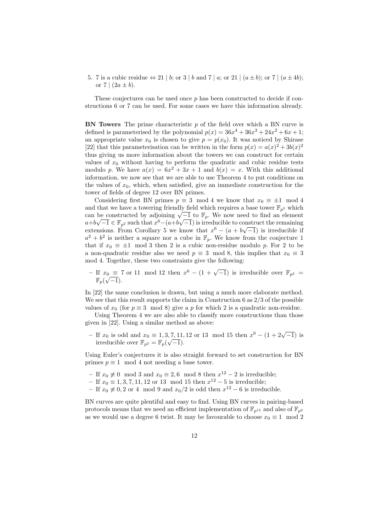5. 7 is a cubic residue  $\Leftrightarrow$  21 | b; or 3 | b and 7 | a; or 21 |  $(a \pm b)$ ; or 7 |  $(a \pm 4b)$ ; or  $7 | (2a \pm b).$ 

These conjectures can be used once  $p$  has been constructed to decide if constructions 6 or 7 can be used. For some cases we have this information already.

**BN Towers** The prime characteristic  $p$  of the field over which a BN curve is defined is parameterised by the polynomial  $p(x) = 36x^4 + 36x^3 + 24x^2 + 6x + 1$ ; an appropriate value  $x_0$  is chosen to give  $p = p(x_0)$ . It was noticed by Shirase [22] that this parameterisation can be written in the form  $p(x) = a(x)^2 + 3b(x)^2$ thus giving us more information about the towers we can construct for certain values of  $x_0$  without having to perform the quadratic and cubic residue tests modulo p. We have  $a(x) = 6x^2 + 3x + 1$  and  $b(x) = x$ . With this additional information, we now see that we are able to use Theorem 4 to put conditions on the values of  $x_0$ , which, when satisfied, give an immediate construction for the tower of fields of degree 12 over BN primes.

Considering first BN primes  $p \equiv 3 \mod 4$  we know that  $x_0 \equiv \pm 1 \mod 4$ and that we have a towering friendly field which requires a base tower  $\mathbb{F}_{p^2}$  which and that we have a towering iriendly lield which requires a base tower  $\mathbb{F}_{p^2}$  which can be constructed by adjoining  $\sqrt{-1}$  to  $\mathbb{F}_p$ . We now need to find an element can be constructed by adjoining  $\sqrt{-1}$  to  $\mathbb{F}_p$ . We now need to find an element<br>  $a+b\sqrt{-1} \in \mathbb{F}_{p^2}$  such that  $x^6-(a+b\sqrt{-1})$  is irreducible to construct the remaining extensions. From Corollary 5 we know that  $x^6 - (a + b\sqrt{-1})$  is irreducible if  $a^2 + b^2$  is neither a square nor a cube in  $\mathbb{F}_p$ . We know from the conjecture 1 that if  $x_0 \equiv \pm 1 \mod 3$  then 2 is a cubic non-residue modulo p. For 2 to be a non-quadratic residue also we need  $p \equiv 3 \mod 8$ , this implies that  $x_0 \equiv 3$ mod 4. Together, these two constraints give the following:

 $-$  If  $x_0 \equiv 7$  or 11 mod 12 then  $x^6 - (1 + \sqrt{-1})$  is irreducible over  $\mathbb{F}_{p^2}$  =  $\mathbb{F}_p(\sqrt{-1}).$ 

In [22] the same conclusion is drawn, but using a much more elaborate method. We see that this result supports the claim in Construction 6 as 2/3 of the possible values of  $x_0$  (for  $p \equiv 3 \mod 8$ ) give a p for which 2 is a quadratic non-residue.

Using Theorem 4 we are also able to classify more constructions than those given in [22]. Using a similar method as above:

− If  $x_0$  is odd and  $x_0 \equiv 1, 3, 7, 11, 12$  or 13 mod 15 then  $x^6 - (1 + 2\sqrt{-1})$  is irreducible over  $\mathbb{F}_{p^2} = \mathbb{F}_p(\sqrt{-1}).$ 

Using Euler's conjectures it is also straight forward to set construction for BN primes  $p \equiv 1 \mod 4$  not needing a base tower.

- − If  $x_0 \neq 0 \mod 3$  and  $x_0 \equiv 2, 6 \mod 8$  then  $x^{12} 2$  is irreducible;
- $-$  If  $x_0 \equiv 1, 3, 7, 11, 12$  or 13 mod 15 then  $x^{12} 5$  is irreducible;
- − If  $x_0 \neq 0, 2$  or 4 mod 9 and  $x_0/2$  is odd then  $x^{12} 6$  is irreducible.

BN curves are quite plentiful and easy to find. Using BN curves in pairing-based protocols means that we need an efficient implementation of  $\mathbb{F}_{p^{12}}$  and also of  $\mathbb{F}_{p^2}$ as we would use a degree 6 twist. It may be favourable to choose  $x_0 \equiv 1 \mod 2$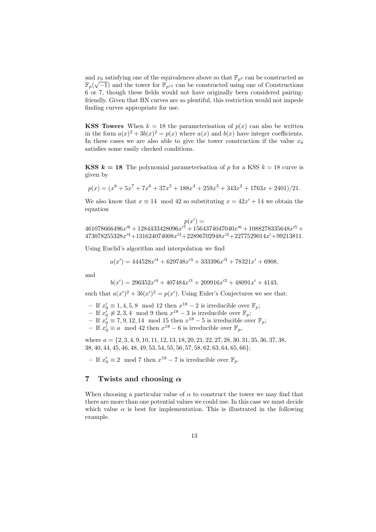and  $x_0$  satisfying one of the equivalences above so that  $\mathbb{F}_{p^2}$  can be constructed as  $\mathbb{F}_p(\sqrt{-1})$  and the tower for  $\mathbb{F}_{p^{12}}$  can be constructed using one of Constructions 6 or 7, though these fields would not have originally been considered pairingfriendly. Given that BN curves are so plentiful, this restriction would not impede finding curves appropriate for use.

**KSS Towers** When  $k = 18$  the parameterisation of  $p(x)$  can also be written in the form  $a(x)^2 + 3b(x)^2 = p(x)$  where  $a(x)$  and  $b(x)$  have integer coefficients. In these cases we are also able to give the tower construction if the value  $x_0$ satisfies some easily checked conditions.

**KSS**  $k = 18$  The polynomial parameterisation of p for a KSS  $k = 18$  curve is given by

$$
p(x) = (x^8 + 5x^7 + 7x^6 + 37x^5 + 188x^4 + 259x^3 + 343x^2 + 1763x + 2401)/21.
$$

We also know that  $x \equiv 14 \mod 42$  so substituting  $x = 42x' + 14$  we obtain the equation

 $p(x') =$  $461078666496x^{\prime8} + 1284433428096x^{\prime7} + 1564374047040x^{\prime6} + 1088278335648x^{\prime5} +$  $473078255328x'^4 + 131624074008x'^3 + 22896702948x'^2 + 2277529014x' + 99213811$ 

Using Euclid's algorithm and interpolation we find

$$
a(x') = 444528x'^4 + 629748x'^3 + 333396x'^2 + 78321x' + 6908,
$$

and

$$
b(x') = 296352x'^4 + 407484x'^3 + 209916x'^2 + 48091x' + 4143,
$$

such that  $a(x')^2 + 3b(x')^2 = p(x')$ . Using Euler's Conjectures we see that:

− If  $x'_0 \equiv 1, 4, 5, 8 \mod 12$  then  $x^{18} - 2$  is irreducible over  $\mathbb{F}_p$ ;

− If  $x_0^{\check{i}} \neq 2, 3, 4 \mod 9$  then  $x^{18} - 3$  is irreducible over  $\mathbb{F}_p$ ;

– If  $x_0' \equiv 7, 9, 12, 14 \mod 15$  then  $x^{18} - 5$  is irreducible over  $\mathbb{F}_p$ ;

- If  $x_0$ <sup>*i*</sup> ≡ *a* mod 42 then  $x^{18}$  - 6 is irreducible over  $\mathbb{F}_p$ ,

where  $a = \{2, 3, 4, 9, 10, 11, 12, 13, 18, 20, 21, 22, 27, 28, 30, 31, 35, 36, 37, 38,$ 38, 40, 44, 45, 46, 48, 49, 53, 54, 55, 56, 57, 58, 62, 63, 64, 65, 66};

− If  $x'_0 \equiv 2 \mod 7$  then  $x^{18} - 7$  is irreducible over  $\mathbb{F}_p$ .

## 7 Twists and choosing  $\alpha$

When choosing a particular value of  $\alpha$  to construct the tower we may find that there are more than one potential values we could use. In this case we must decide which value  $\alpha$  is best for implementation. This is illustrated in the following example.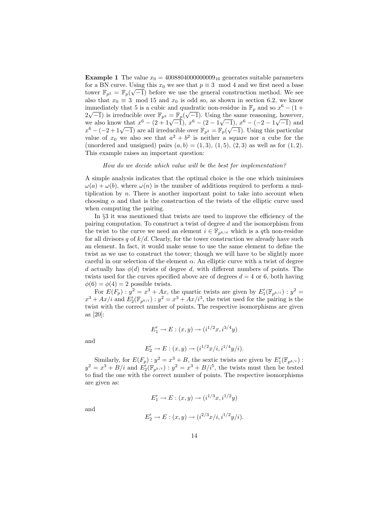**Example 1** The value  $x_0 = 4008804000000009_{16}$  generates suitable parameters for a BN curve. Using this  $x_0$  we see that  $p \equiv 3 \mod 4$  and we first need a base tower  $\mathbb{F}_{p^2} = \mathbb{F}_p(\sqrt{-1})$  before we use the general construction method. We see also that  $x_0 \equiv 3 \mod 15$  and  $x_0$  is odd so, as shown in section 6.2, we know immediately that 5 is a cubic and quadratic non-residue in  $\mathbb{F}_p$  and so  $x^6 - (1 + \sqrt{m})$  $2\sqrt{-1}$ ) is irreducible over  $\mathbb{F}_{p^2} = \mathbb{F}_p(\sqrt{-1})$ . Using the same reasoning, however,  $2\sqrt{-1}$ ) is irreduction over  $\mathbb{F}_{p^2} = \mathbb{F}_p(\sqrt{-1})$ . Using the same reasoning, nowever,<br>we also know that  $x^6 - (2 + 1\sqrt{-1})$ ,  $x^6 - (2 - 1\sqrt{-1})$ ,  $x^6 - (-2 - 1\sqrt{-1})$  and we also know that  $x^2 - (2 + 1\sqrt{-1})$ ,  $x^2 - (2 - 1\sqrt{-1})$ ,  $x^3 - (-2 - 1\sqrt{-1})$  and  $x^6 - (-2 + 1\sqrt{-1})$  are all irreducible over  $\mathbb{F}_{p^2} = \mathbb{F}_p(\sqrt{-1})$ . Using this particular value of  $x_0$  we also see that  $a^2 + b^2$  is neither a square nor a cube for the (unordered and unsigned) pairs  $(a, b) = (1, 3), (1, 5), (2, 3)$  as well as for  $(1, 2)$ . This example raises an important question:

How do we decide which value will be the best for implementation?

A simple analysis indicates that the optimal choice is the one which minimises  $\omega(a) + \omega(b)$ , where  $\omega(n)$  is the number of additions required to perform a multiplication by  $n$ . There is another important point to take into account when choosing  $\alpha$  and that is the construction of the twists of the elliptic curve used when computing the pairing.

In §3 it was mentioned that twists are used to improve the efficiency of the pairing computation. To construct a twist of degree  $d$  and the isomorphism from the twist to the curve we need an element  $i \in \mathbb{F}_{n^{k/d}}$  which is a qth non-residue for all divisors q of  $k/d$ . Clearly, for the tower construction we already have such an element. In fact, it would make sense to use the same element to define the twist as we use to construct the tower; though we will have to be slightly more careful in our selection of the element  $\alpha$ . An elliptic curve with a twist of degree d actually has  $\phi(d)$  twists of degree d, with different numbers of points. The twists used for the curves specified above are of degrees  $d = 4$  or 6, both having  $\phi(6) = \phi(4) = 2$  possible twists.

For  $E(F_p): y^2 = x^3 + Ax$ , the quartic twists are given by  $E'_1(\mathbb{F}_{p^{k/t}}): y^2 =$  $x^3 + Ax/i$  and  $E'_2(\mathbb{F}_{p^{k/t}})$ :  $y^2 = x^3 + Ax/i^3$ , the twist used for the pairing is the twist with the correct number of points. The respective isomorphisms are given as [20]:

$$
E'_1 \to E : (x, y) \to (i^{1/2}x, i^{3/4}y)
$$

and

$$
E'_2 \to E : (x, y) \to (i^{1/2}x/i, i^{1/4}y/i).
$$

Similarly, for  $E(F_p)$ :  $y^2 = x^3 + B$ , the sextic twists are given by  $E'_1(\mathbb{F}_{p^{k/t}})$ :  $y^2 = x^3 + B/i$  and  $E_2'(\mathbb{F}_{p^{k/t}})$ :  $y^2 = x^3 + B/i^5$ , the twists must then be tested to find the one with the correct number of points. The respective isomorphisms are given as:

$$
E'_1 \to E : (x, y) \to (i^{1/3}x, i^{1/2}y)
$$

and

$$
E'_2 \to E : (x, y) \to (i^{2/3}x/i, i^{1/2}y/i).
$$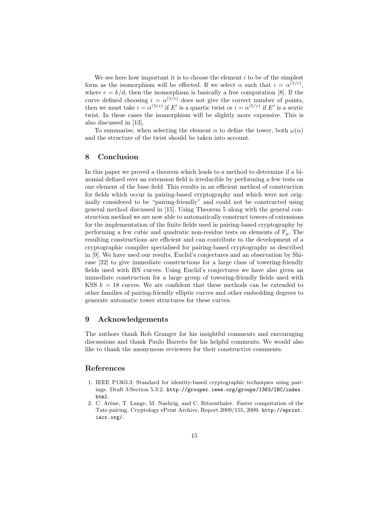We see here how important it is to choose the element  $i$  to be of the simplest form as the isomorphism will be effected. If we select  $\alpha$  such that  $i = \alpha^{(1/e)}$ , where  $e = k/d$ , then the isomorphism is basically a free computation [8]. If the curve defined choosing  $i = \alpha^{(1/e)}$  does not give the correct number of points, then we must take  $i = \alpha^{(3/e)}$  if E' is a quartic twist or  $i = \alpha^{(5/e)}$  if E' is a sextic twist. In these cases the isomorphism will be slightly more expensive. This is also discussed in [13].

To summarise, when selecting the element  $\alpha$  to define the tower, both  $\omega(\alpha)$ and the structure of the twist should be taken into account.

#### 8 Conclusion

In this paper we proved a theorem which leads to a method to determine if a binomial defined over an extension field is irreducible by performing a few tests on one element of the base field. This results in an efficient method of construction for fields which occur in pairing-based cryptography and which were not originally considered to be "pairing-friendly" and could not be constructed using general method discussed in [15]. Using Theorem 5 along with the general construction method we are now able to automatically construct towers of extensions for the implementation of the finite fields used in pairing-based cryptography by performing a few cubic and quadratic non-residue tests on elements of  $\mathbb{F}_n$ . The resulting constructions are efficient and can contribute to the development of a cryptographic compiler specialised for pairing-based cryptography as described in [9]. We have used our results, Euclid's conjectures and an observation by Shirase [22] to give immediate constructions for a large class of towering-friendly fields used with BN curves. Using Euclid's conjectures we have also given an immediate construction for a large group of towering-friendly fields used with KSS  $k = 18$  curves. We are confident that these methods can be extended to other families of pairing-friendly elliptic curves and other embedding degrees to generate automatic tower structures for these curves.

## 9 Acknowledgements

The authors thank Rob Granger for his insightful comments and encouraging discussions and thank Paulo Barreto for his helpful comments. We would also like to thank the anonymous reviewers for their constructive comments.

# References

- 1. IEEE P1363.3: Standard for identity-based cryptographic techniques using pairings. Draft 3:Section 5.3.2. http://grouper.ieee.org/groups/1363/IBC/index. html.
- 2. C. Arène, T. Lange, M. Naehrig, and C. Ritzenthaler. Faster computation of the Tate pairing. Cryptology ePrint Archive, Report 2009/155, 2009. http://eprint. iacr.org/.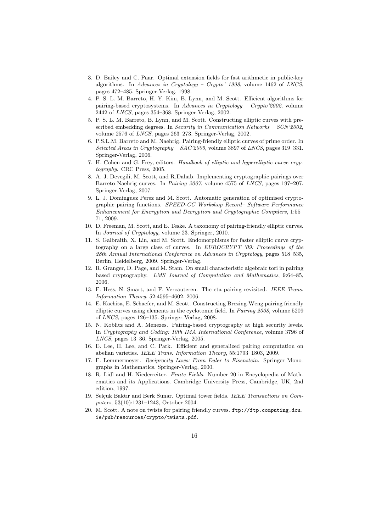- 3. D. Bailey and C. Paar. Optimal extension fields for fast arithmetic in public-key algorithms. In Advances in Cryptology – Crypto' 1998, volume 1462 of LNCS, pages 472–485. Springer-Verlag, 1998.
- 4. P. S. L. M. Barreto, H. Y. Kim, B. Lynn, and M. Scott. Efficient algorithms for pairing-based cryptosystems. In Advances in Cryptology - Crypto'2002, volume 2442 of LNCS, pages 354–368. Springer-Verlag, 2002.
- 5. P. S. L. M. Barreto, B. Lynn, and M. Scott. Constructing elliptic curves with prescribed embedding degrees. In Security in Communication Networks – SCN'2002, volume 2576 of LNCS, pages 263–273. Springer-Verlag, 2002.
- 6. P.S.L.M. Barreto and M. Naehrig. Pairing-friendly elliptic curves of prime order. In Selected Areas in Cryptography – SAC'2005, volume 3897 of LNCS, pages 319–331. Springer-Verlag, 2006.
- 7. H. Cohen and G. Frey, editors. Handbook of elliptic and hyperelliptic curve cryptography. CRC Press, 2005.
- 8. A. J. Devegili, M. Scott, and R.Dahab. Implementing cryptographic pairings over Barreto-Naehrig curves. In Pairing 2007, volume 4575 of LNCS, pages 197–207. Springer-Verlag, 2007.
- 9. L. J. Dominguez Perez and M. Scott. Automatic generation of optimised cryptographic pairing functions. SPEED-CC Workshop Record– Software Performance Enhancement for Encryption and Decryption and Cryptographic Compilers, 1:55– 71, 2009.
- 10. D. Freeman, M. Scott, and E. Teske. A taxonomy of pairing-friendly elliptic curves. In Journal of Cryptology, volume 23. Springer, 2010.
- 11. S. Galbraith, X. Lin, and M. Scott. Endomorphisms for faster elliptic curve cryptography on a large class of curves. In EUROCRYPT '09: Proceedings of the 28th Annual International Conference on Advances in Cryptology, pages 518–535, Berlin, Heidelberg, 2009. Springer-Verlag.
- 12. R. Granger, D. Page, and M. Stam. On small characteristic algebraic tori in pairing based cryptography. LMS Journal of Computation and Mathematics, 9:64–85, 2006.
- 13. F. Hess, N. Smart, and F. Vercauteren. The eta pairing revisited. IEEE Trans. Information Theory, 52:4595–4602, 2006.
- 14. E. Kachisa, E. Schaefer, and M. Scott. Constructing Brezing-Weng pairing friendly elliptic curves using elements in the cyclotomic field. In Pairing 2008, volume 5209 of LNCS, pages 126–135. Springer-Verlag, 2008.
- 15. N. Koblitz and A. Menezes. Pairing-based cryptography at high security levels. In Cryptography and Coding: 10th IMA International Conference, volume 3796 of LNCS, pages 13–36. Springer-Verlag, 2005.
- 16. E. Lee, H. Lee, and C. Park. Efficient and generalized pairing computation on abelian varieties. IEEE Trans. Information Theory, 55:1793–1803, 2009.
- 17. F. Lemmermeyer. Reciprocity Laws: From Euler to Eisenstein. Springer Monographs in Mathematics. Springer-Verlag, 2000.
- 18. R. Lidl and H. Niederreiter. Finite Fields. Number 20 in Encyclopedia of Mathematics and its Applications. Cambridge University Press, Cambridge, UK, 2nd edition, 1997.
- 19. Selçuk Baktır and Berk Sunar. Optimal tower fields. IEEE Transactions on Computers, 53(10):1231–1243, October 2004.
- 20. M. Scott. A note on twists for pairing friendly curves. ftp://ftp.computing.dcu. ie/pub/resources/crypto/twists.pdf.